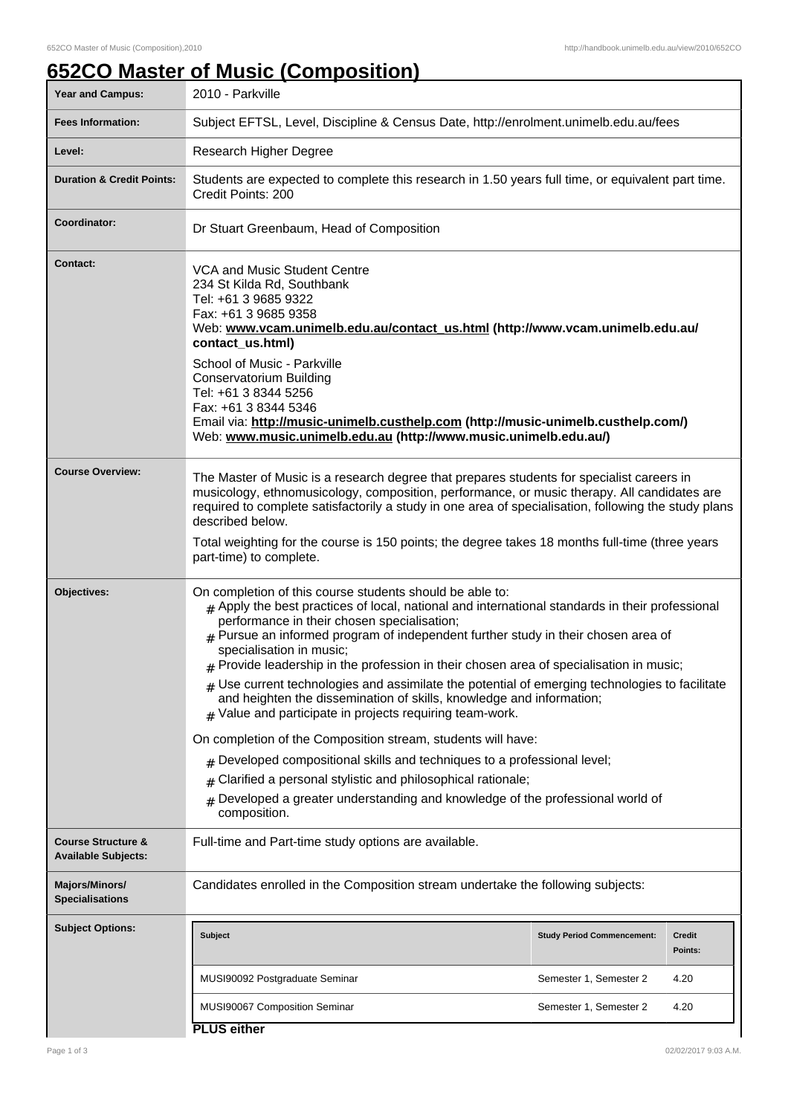## **652CO Master of Music (Composition)**

| <b>Year and Campus:</b>                                     | 2010 - Parkville                                                                                                                                                                                                                                                                                                                                                                                                                                                                                                                                                                                                                                                                                                                                                                                                                                                                                                                                                                                       |                                   |                          |  |  |
|-------------------------------------------------------------|--------------------------------------------------------------------------------------------------------------------------------------------------------------------------------------------------------------------------------------------------------------------------------------------------------------------------------------------------------------------------------------------------------------------------------------------------------------------------------------------------------------------------------------------------------------------------------------------------------------------------------------------------------------------------------------------------------------------------------------------------------------------------------------------------------------------------------------------------------------------------------------------------------------------------------------------------------------------------------------------------------|-----------------------------------|--------------------------|--|--|
| <b>Fees Information:</b>                                    | Subject EFTSL, Level, Discipline & Census Date, http://enrolment.unimelb.edu.au/fees                                                                                                                                                                                                                                                                                                                                                                                                                                                                                                                                                                                                                                                                                                                                                                                                                                                                                                                   |                                   |                          |  |  |
| Level:                                                      | Research Higher Degree                                                                                                                                                                                                                                                                                                                                                                                                                                                                                                                                                                                                                                                                                                                                                                                                                                                                                                                                                                                 |                                   |                          |  |  |
| <b>Duration &amp; Credit Points:</b>                        | Students are expected to complete this research in 1.50 years full time, or equivalent part time.<br>Credit Points: 200                                                                                                                                                                                                                                                                                                                                                                                                                                                                                                                                                                                                                                                                                                                                                                                                                                                                                |                                   |                          |  |  |
| Coordinator:                                                | Dr Stuart Greenbaum, Head of Composition                                                                                                                                                                                                                                                                                                                                                                                                                                                                                                                                                                                                                                                                                                                                                                                                                                                                                                                                                               |                                   |                          |  |  |
| Contact:                                                    | <b>VCA and Music Student Centre</b><br>234 St Kilda Rd, Southbank<br>Tel: +61 3 9685 9322<br>Fax: +61 3 9685 9358<br>Web: www.vcam.unimelb.edu.au/contact_us.html (http://www.vcam.unimelb.edu.au/<br>contact_us.html)<br>School of Music - Parkville<br><b>Conservatorium Building</b><br>Tel: +61 3 8344 5256<br>Fax: +61 3 8344 5346<br>Email via: http://music-unimelb.custhelp.com (http://music-unimelb.custhelp.com/)<br>Web: www.music.unimelb.edu.au (http://www.music.unimelb.edu.au/)                                                                                                                                                                                                                                                                                                                                                                                                                                                                                                       |                                   |                          |  |  |
| <b>Course Overview:</b>                                     | The Master of Music is a research degree that prepares students for specialist careers in<br>musicology, ethnomusicology, composition, performance, or music therapy. All candidates are<br>required to complete satisfactorily a study in one area of specialisation, following the study plans<br>described below.<br>Total weighting for the course is 150 points; the degree takes 18 months full-time (three years<br>part-time) to complete.                                                                                                                                                                                                                                                                                                                                                                                                                                                                                                                                                     |                                   |                          |  |  |
| Objectives:                                                 | On completion of this course students should be able to:<br>$_{\rm H}$ Apply the best practices of local, national and international standards in their professional<br>performance in their chosen specialisation;<br>$#$ Pursue an informed program of independent further study in their chosen area of<br>specialisation in music;<br>$#$ Provide leadership in the profession in their chosen area of specialisation in music;<br>$#$ Use current technologies and assimilate the potential of emerging technologies to facilitate<br>and heighten the dissemination of skills, knowledge and information;<br>Value and participate in projects requiring team-work.<br>#<br>On completion of the Composition stream, students will have:<br>Developed compositional skills and techniques to a professional level;<br>#<br>Clarified a personal stylistic and philosophical rationale;<br>#<br>Developed a greater understanding and knowledge of the professional world of<br>#<br>composition. |                                   |                          |  |  |
| <b>Course Structure &amp;</b><br><b>Available Subjects:</b> | Full-time and Part-time study options are available.                                                                                                                                                                                                                                                                                                                                                                                                                                                                                                                                                                                                                                                                                                                                                                                                                                                                                                                                                   |                                   |                          |  |  |
| Majors/Minors/<br><b>Specialisations</b>                    | Candidates enrolled in the Composition stream undertake the following subjects:                                                                                                                                                                                                                                                                                                                                                                                                                                                                                                                                                                                                                                                                                                                                                                                                                                                                                                                        |                                   |                          |  |  |
| <b>Subject Options:</b>                                     | <b>Subject</b>                                                                                                                                                                                                                                                                                                                                                                                                                                                                                                                                                                                                                                                                                                                                                                                                                                                                                                                                                                                         | <b>Study Period Commencement:</b> | <b>Credit</b><br>Points: |  |  |
|                                                             | MUSI90092 Postgraduate Seminar                                                                                                                                                                                                                                                                                                                                                                                                                                                                                                                                                                                                                                                                                                                                                                                                                                                                                                                                                                         | Semester 1, Semester 2            | 4.20                     |  |  |
|                                                             | MUSI90067 Composition Seminar<br><b>PLUS either</b>                                                                                                                                                                                                                                                                                                                                                                                                                                                                                                                                                                                                                                                                                                                                                                                                                                                                                                                                                    | Semester 1, Semester 2            | 4.20                     |  |  |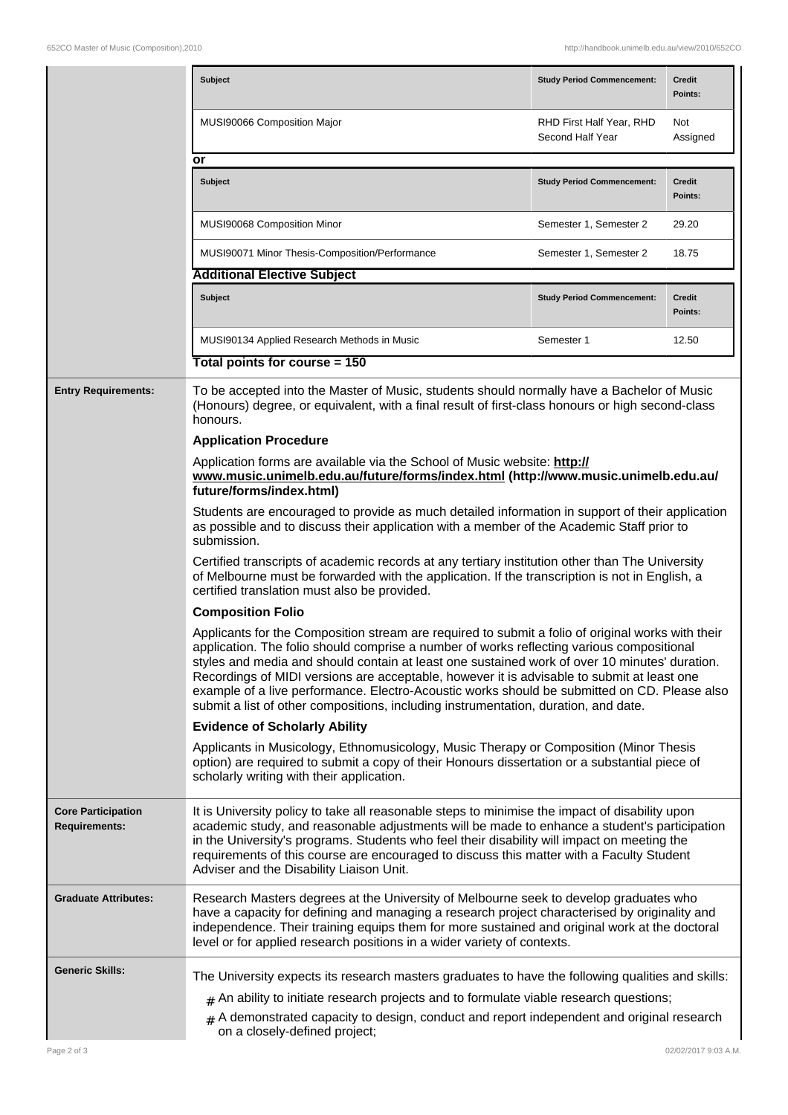|                                                   | <b>Subject</b>                                                                                                                                                                                                                                                                                                                                                                                                                                                                                                                                                                       | <b>Study Period Commencement:</b>            | <b>Credit</b><br>Points: |  |  |
|---------------------------------------------------|--------------------------------------------------------------------------------------------------------------------------------------------------------------------------------------------------------------------------------------------------------------------------------------------------------------------------------------------------------------------------------------------------------------------------------------------------------------------------------------------------------------------------------------------------------------------------------------|----------------------------------------------|--------------------------|--|--|
|                                                   | MUSI90066 Composition Major                                                                                                                                                                                                                                                                                                                                                                                                                                                                                                                                                          | RHD First Half Year, RHD<br>Second Half Year | Not<br>Assigned          |  |  |
|                                                   | or                                                                                                                                                                                                                                                                                                                                                                                                                                                                                                                                                                                   |                                              |                          |  |  |
|                                                   | <b>Subject</b>                                                                                                                                                                                                                                                                                                                                                                                                                                                                                                                                                                       | <b>Study Period Commencement:</b>            | <b>Credit</b><br>Points: |  |  |
|                                                   | MUSI90068 Composition Minor                                                                                                                                                                                                                                                                                                                                                                                                                                                                                                                                                          | Semester 1, Semester 2                       | 29.20                    |  |  |
|                                                   | MUSI90071 Minor Thesis-Composition/Performance                                                                                                                                                                                                                                                                                                                                                                                                                                                                                                                                       | Semester 1, Semester 2                       | 18.75                    |  |  |
|                                                   | <b>Additional Elective Subject</b>                                                                                                                                                                                                                                                                                                                                                                                                                                                                                                                                                   |                                              |                          |  |  |
|                                                   | <b>Subject</b>                                                                                                                                                                                                                                                                                                                                                                                                                                                                                                                                                                       | <b>Study Period Commencement:</b>            | <b>Credit</b><br>Points: |  |  |
|                                                   | MUSI90134 Applied Research Methods in Music                                                                                                                                                                                                                                                                                                                                                                                                                                                                                                                                          | Semester 1                                   | 12.50                    |  |  |
|                                                   | Total points for course = 150                                                                                                                                                                                                                                                                                                                                                                                                                                                                                                                                                        |                                              |                          |  |  |
| <b>Entry Requirements:</b>                        | To be accepted into the Master of Music, students should normally have a Bachelor of Music<br>(Honours) degree, or equivalent, with a final result of first-class honours or high second-class<br>honours.                                                                                                                                                                                                                                                                                                                                                                           |                                              |                          |  |  |
|                                                   | <b>Application Procedure</b>                                                                                                                                                                                                                                                                                                                                                                                                                                                                                                                                                         |                                              |                          |  |  |
|                                                   | Application forms are available via the School of Music website: http://<br>www.music.unimelb.edu.au/future/forms/index.html (http://www.music.unimelb.edu.au/<br>future/forms/index.html)                                                                                                                                                                                                                                                                                                                                                                                           |                                              |                          |  |  |
|                                                   | Students are encouraged to provide as much detailed information in support of their application<br>as possible and to discuss their application with a member of the Academic Staff prior to<br>submission.                                                                                                                                                                                                                                                                                                                                                                          |                                              |                          |  |  |
|                                                   | Certified transcripts of academic records at any tertiary institution other than The University<br>of Melbourne must be forwarded with the application. If the transcription is not in English, a<br>certified translation must also be provided.                                                                                                                                                                                                                                                                                                                                    |                                              |                          |  |  |
|                                                   | <b>Composition Folio</b>                                                                                                                                                                                                                                                                                                                                                                                                                                                                                                                                                             |                                              |                          |  |  |
|                                                   | Applicants for the Composition stream are required to submit a folio of original works with their<br>application. The folio should comprise a number of works reflecting various compositional<br>styles and media and should contain at least one sustained work of over 10 minutes' duration.<br>Recordings of MIDI versions are acceptable, however it is advisable to submit at least one<br>example of a live performance. Electro-Acoustic works should be submitted on CD. Please also<br>submit a list of other compositions, including instrumentation, duration, and date. |                                              |                          |  |  |
|                                                   | <b>Evidence of Scholarly Ability</b>                                                                                                                                                                                                                                                                                                                                                                                                                                                                                                                                                 |                                              |                          |  |  |
|                                                   | Applicants in Musicology, Ethnomusicology, Music Therapy or Composition (Minor Thesis<br>option) are required to submit a copy of their Honours dissertation or a substantial piece of<br>scholarly writing with their application.                                                                                                                                                                                                                                                                                                                                                  |                                              |                          |  |  |
| <b>Core Participation</b><br><b>Requirements:</b> | It is University policy to take all reasonable steps to minimise the impact of disability upon<br>academic study, and reasonable adjustments will be made to enhance a student's participation<br>in the University's programs. Students who feel their disability will impact on meeting the<br>requirements of this course are encouraged to discuss this matter with a Faculty Student<br>Adviser and the Disability Liaison Unit.                                                                                                                                                |                                              |                          |  |  |
| <b>Graduate Attributes:</b>                       | Research Masters degrees at the University of Melbourne seek to develop graduates who<br>have a capacity for defining and managing a research project characterised by originality and<br>independence. Their training equips them for more sustained and original work at the doctoral<br>level or for applied research positions in a wider variety of contexts.                                                                                                                                                                                                                   |                                              |                          |  |  |
| <b>Generic Skills:</b>                            | The University expects its research masters graduates to have the following qualities and skills:<br>$#$ An ability to initiate research projects and to formulate viable research questions;<br>A demonstrated capacity to design, conduct and report independent and original research<br>#<br>on a closely-defined project;                                                                                                                                                                                                                                                       |                                              |                          |  |  |